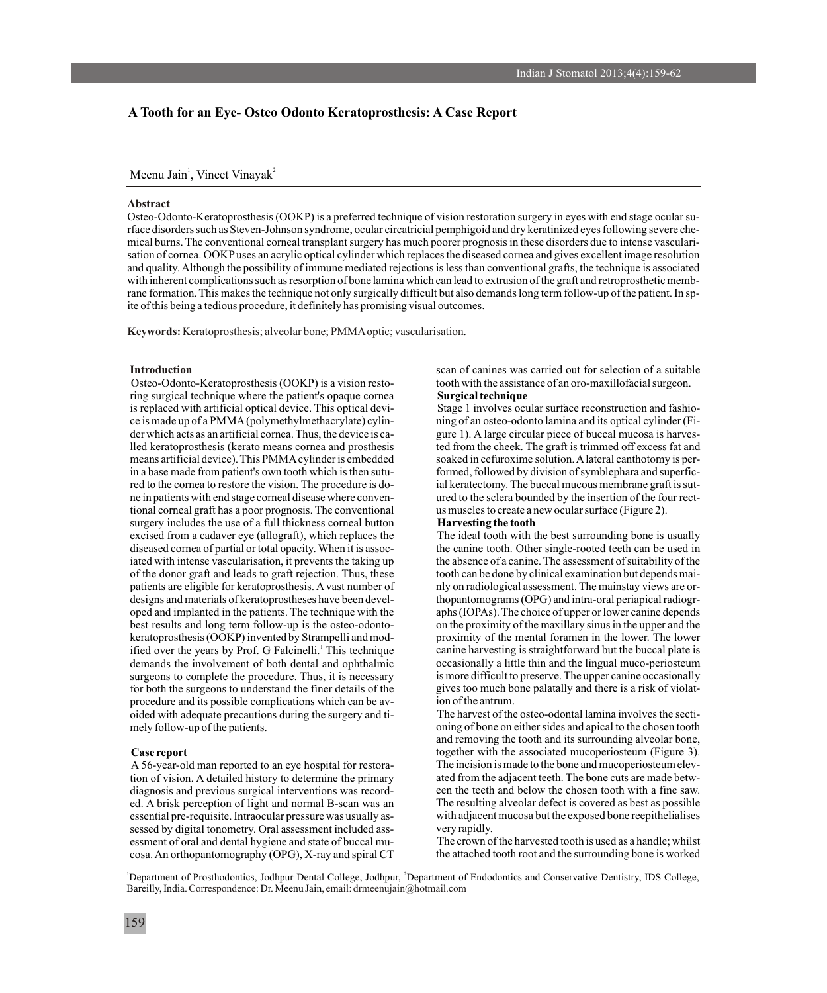# **A Tooth for an Eye- Osteo Odonto Keratoprosthesis: A Case Report**

Meenu Jain<sup>1</sup>, Vineet Vinayak<sup>2</sup>

## **Abstract**

Osteo-Odonto-Keratoprosthesis (OOKP) is a preferred technique of vision restoration surgery in eyes with end stage ocular surface disorders such as Steven-Johnson syndrome, ocular circatricial pemphigoid and dry keratinized eyes following severe chemical burns. The conventional corneal transplant surgery has much poorer prognosis in these disorders due to intense vascularisation of cornea. OOKP uses an acrylic optical cylinder which replaces the diseased cornea and gives excellent image resolution and quality. Although the possibility of immune mediated rejections is less than conventional grafts, the technique is associated with inherent complications such as resorption of bone lamina which can lead to extrusion of the graft and retroprosthetic membrane formation. This makes the technique not only surgically difficult but also demands long term follow-up of the patient. In spite of this being a tedious procedure, it definitely has promising visual outcomes.

**Keywords:** Keratoprosthesis; alveolar bone; PMMAoptic; vascularisation .

ring surgical technique where the patient's opaque cornea **Surgical technique** is replaced with artificial optical device. This optical devi-<br>
Stage 1 involves ocular surface reconstruction and fashio-<br>
ing of an osteo-odonto lamina and its optical cylinder (Fice is made up of a PMMA (polymethylmethacrylate) cylinder which acts as an artificial cornea. Thus, the device is ca- gure 1). A large circular piece of buccal mucosa is harveslled keratoprosthesis (kerato means cornea and prosthesis ted from the cheek. The graft is trimmed off excess fat and means artificial device). This PMMA cylinder is embedded soaked in cefuroxime solution. A lateral canthotomy is perin a base made from patient's own tooth which is then sutu- formed, followed by division of symblephara and superficred to the cornea to restore the vision. The procedure is do- ial keratectomy. The buccal mucous membrane graft is sutne in patients with end stage corneal disease where conven- ured to the sclera bounded by the insertion of the four recttional corneal graft has a poor prognosis. The conventional us muscles to create a new ocular surface (Figure 2). surgery includes the use of a full thickness corneal button **Harvesting the tooth** excised from a cadaver eye (allograft), which replaces the The ideal tooth with the best surrounding bone is usually diseased cornea of partial or total opacity. When it is assoc- the canine tooth. Other single-rooted teeth can be used in iated with intense vascularisation, it prevents the taking up the absence of a canine. The assessment of suitability of the of the donor graft and leads to graft rejection. Thus, these tooth can be done by clinical examination but depends mai-<br>patients are eligible for keratoprosthesis. A vast number of hyperation but depends on radiological as patients are eligible for keratoprosthesis. A vast number of designs and materials of keratoprostheses have been devel- thopantomograms (OPG) and intra-oral periapical radiogroped and implanted in the patients. The technique with the aphs (IOPAs). The choice of upper or lower canine depends best results and long term follow-up is the osteo-odonto- on the proximity of the maxillary sinus in the upper and the keratoprosthesis (OOKP) invented by Strampelli and mod- proximity of the mental foramen in the lower. The lower ified over the years by Prof. G Falcinelli.<sup>1</sup> This technique demands the involvement of both dental and ophthalmic occasionally a little thin and the lingual muco-periosteum surgeons to complete the procedure. Thus, it is necessary is more difficult to preserve. The upper canine occasionally for both the surgeons to understand the finer details of the gives too much bone palatally and there is for both the surgeons to understand the finer details of the procedure and its possible complications which can be av- ion of the antrum. oided with adequate precautions during the surgery and ti- The harvest of the osteo-odontal lamina involves the secti-

tion of vision. A detailed history to determine the primary diagnosis and previous surgical interventions was record- een the teeth and below the chosen tooth with a fine saw. ed. A brisk perception of light and normal B-scan was an The resulting alveolar defect is covered as best as possible essential pre-requisite. Intraocular pressure was usually as- with adjacent mucosa but the exposed bone reepithelialises sessed by digital tonometry. Oral assessment included ass-<br>essment of oral and dental hygiene and state of buccal mu-<br>The crown of the harvested tooth is used as a handle; whilst essment of oral and dental hygiene and state of buccal mu-<br>cosa. An orthopantomography (OPG), X-ray and spiral CT the attached tooth root and the surrounding bone is worked cosa. An orthopantomography (OPG), X-ray and spiral CT

**Introduction** scan of canines was carried out for selection of a suitable Osteo-Odonto-Keratoprosthesis (OOKP) is a vision resto- tooth with the assistance of an oro-maxillofacial surgeon.

canine harvesting is straightforward but the buccal plate is

mely follow-up of the patients.  $\omega$  oning of bone on either sides and apical to the chosen tooth and removing the tooth and its surrounding alveolar bone, **Case report** together with the associated mucoperiosteum (Figure 3). A 56-year-old man reported to an eye hospital for restora-<br>The incision is made to the bone and mucoperiosteum elev-<br>ated from the adjacent teeth. The bone cuts are made betw-<br> $\frac{d}{dt}$ 

<sup>1</sup>Department of Prosthodontics, Jodhpur Dental College, Jodhpur, <sup>2</sup>Department of Endodontics and Conservative Dentistry, IDS College, Bareilly, India. Correspondence: Dr. Meenu Jain, email: drmeenujain@hotmail.com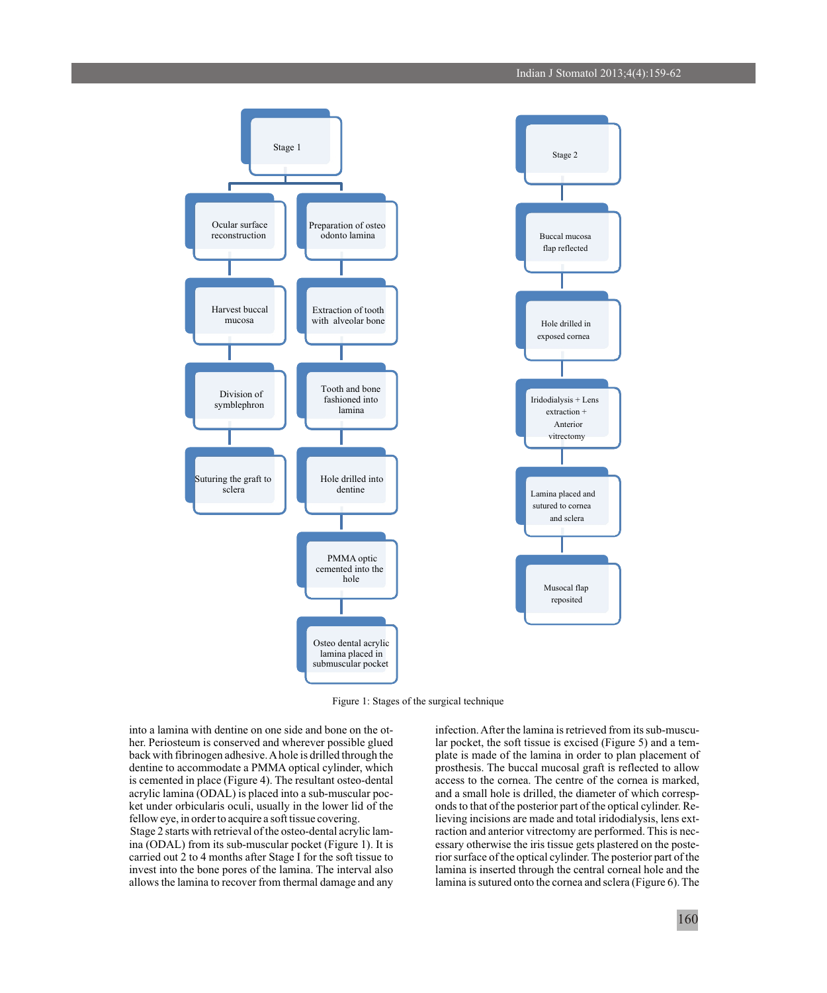

Figure 1: Stages of the surgical technique

into a lamina with dentine on one side and bone on the ot-<br>
Infection. After the lamina is retrieved from its sub-muscu-<br>
lar pocket, the soft tissue is excised (Figure 5) and a temback with fibrinogen adhesive. A hole is drilled through the plate is made of the lamina in order to plan placement of dentine to accommodate a PMMA optical cylinder, which prosthesis. The buccal mucosal graft is reflected to allow is cemented in place (Figure 4). The resultant osteo-dental access to the cornea. The centre of the cornea is marked, acrylic lamina (ODAL) is placed into a sub-muscular poc-<br>and a small hole is drilled, the diameter of wh ket under orbicularis oculi, usually in the lower lid of the onds to that of the posterior part of the optical cylinder. Re-<br>fellow eye, in order to acquire a soft tissue covering.<br>In the lower lieving incisions are made a Stage 2 starts with retrieval of the osteo-dental acrylic lam-<br>ina (ODAL) from its sub-muscular pocket (Figure 1). It is<br>essary otherwise the iris tissue gets plastered on the posteina (ODAL) from its sub-muscular pocket (Figure 1). It is carried out 2 to 4 months after Stage I for the soft tissue to

lar pocket, the soft tissue is excised (Figure 5) and a temand a small hole is drilled, the diameter of which corresplieving incisions are made and total iridodialysis, lens extrior surface of the optical cylinder. The posterior part of the invest into the bone pores of the lamina. The interval also lamina is inserted through the central corneal hole and the allows the lamina to recover from thermal damage and any lamina is sutured onto the cornea and sclera (Figure 6). The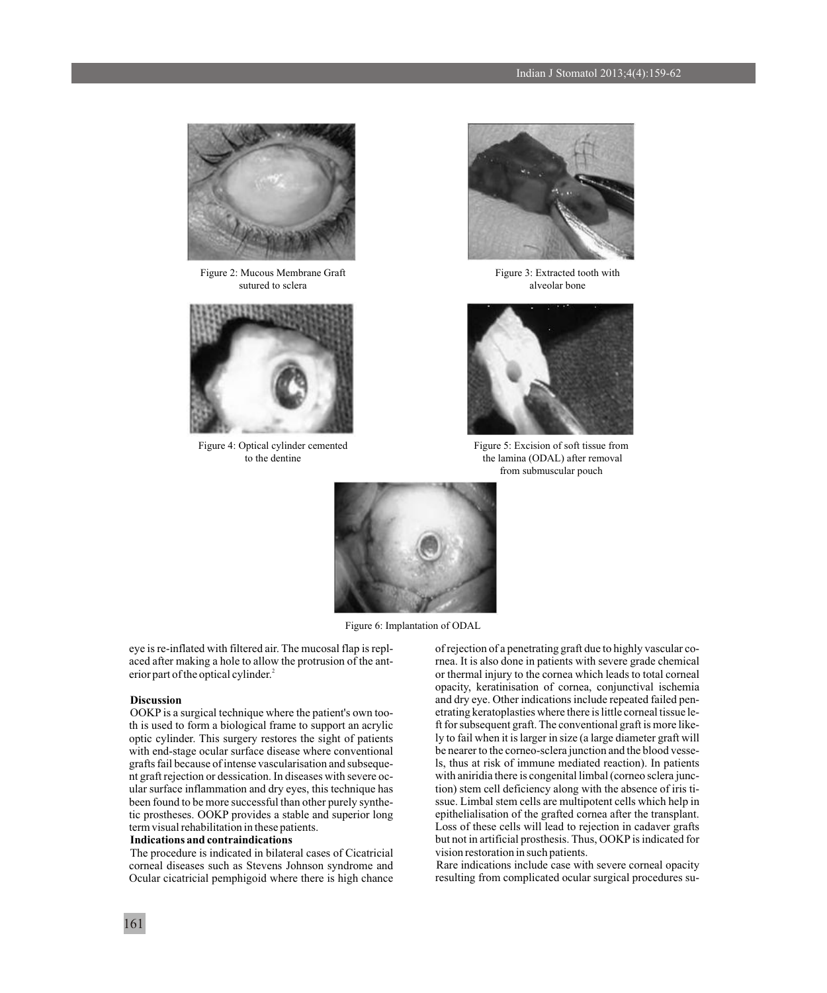

Figure 2: Mucous Membrane Graft sutured to sclera



Figure 4: Optical cylinder cemented to the dentine



Figure 3: Extracted tooth with alveolar bone



Figure 5: Excision of soft tissue from the lamina (ODAL) after removal from submuscular pouch



Figure 6: Implantation of ODAL

aced after making a hole to allow the protrusion of the ant- rnea. It is also done in patients with severe grade chemical erior part of the optical cylinder.<sup>2</sup>

th is used to form a biological frame to support an acrylic ft for subsequent graft. The conventional graft is more like-<br>optic cylinder. This surgery restores the sight of patients ly to fail when it is larger in size (a optic cylinder. This surgery restores the sight of patients with end-stage ocular surface disease where conventional grafts fail because of intense vascularisation and subseque-<br>
Is, thus at risk of immune mediated reaction). In patients<br>
in graft rejection or dessication. In diseases with severe oc-<br>
With aniridia there is congenital li nt graft rejection or dessication. In diseases with severe oc-<br>ular surface inflammation and dry eyes, this technique has tion stem cell deficiency along with the absence of iris tiular surface inflammation and dry eyes, this technique has tion) stem cell deficiency along with the absence of iris ti-<br>been found to be more successful than other purely synthe-<br>ssue. Limbal stem cells are multipotent ce been found to be more successful than other purely synthe-<br>tic prostheses. OOKP provides a stable and superior long<br>epithelialisation of the grafted cornea after the transplant. tic prostheses. OOKP provides a stable and superior long term visual rehabilitation in these patients. Loss of these cells will lead to rejection in cadaver grafts

The procedure is indicated in bilateral cases of Cicatricial corneal diseases such as Stevens Johnson syndrome and Rare indications include case with severe corneal opacity<br>Ocular cicatricial pemphigoid where there is high chance resulting from complicated ocular surgical procedures Ocular cicatricial pemphigoid where there is high chance

eye is re-inflated with filtered air. The mucosal flap is repl- of rejection of a penetrating graft due to highly vascular coor thermal injury to the cornea which leads to total corneal opacity, keratinisation of cornea, conjunctival ischemia **Discussion**<br>OOKP is a surgical technique where the patient's own too-<br>etrating keratoplasties where there is little corneal tissue le-OOKP is a surgical technique where the patient's own too-<br>th is used to form a biological frame to support an acrylic for subsequent graft. The conventional graft is more likebe nearer to the corneo-sclera junction and the blood vesse-**Indications and contraindications** but not in artificial prosthesis. Thus, OOKP is indicated for The procedure is indicated in bilateral cases of Cicatricial vision restoration in such patients.